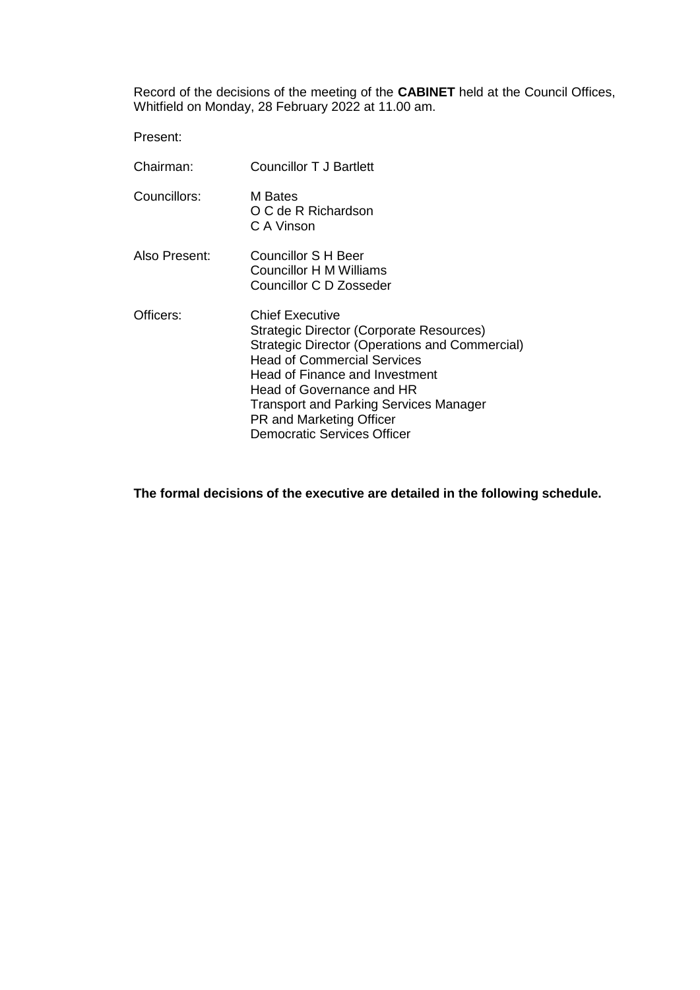Record of the decisions of the meeting of the **CABINET** held at the Council Offices, Whitfield on Monday, 28 February 2022 at 11.00 am.

Present:

| Chairman:     | <b>Councillor T J Bartlett</b>                                                                                                                                                                                                                                                                                                               |
|---------------|----------------------------------------------------------------------------------------------------------------------------------------------------------------------------------------------------------------------------------------------------------------------------------------------------------------------------------------------|
| Councillors:  | M Bates<br>O C de R Richardson<br>C A Vinson                                                                                                                                                                                                                                                                                                 |
| Also Present: | Councillor S H Beer<br>Councillor H M Williams<br>Councillor C D Zosseder                                                                                                                                                                                                                                                                    |
| Officers:     | <b>Chief Executive</b><br>Strategic Director (Corporate Resources)<br>Strategic Director (Operations and Commercial)<br><b>Head of Commercial Services</b><br>Head of Finance and Investment<br>Head of Governance and HR<br><b>Transport and Parking Services Manager</b><br>PR and Marketing Officer<br><b>Democratic Services Officer</b> |

**The formal decisions of the executive are detailed in the following schedule.**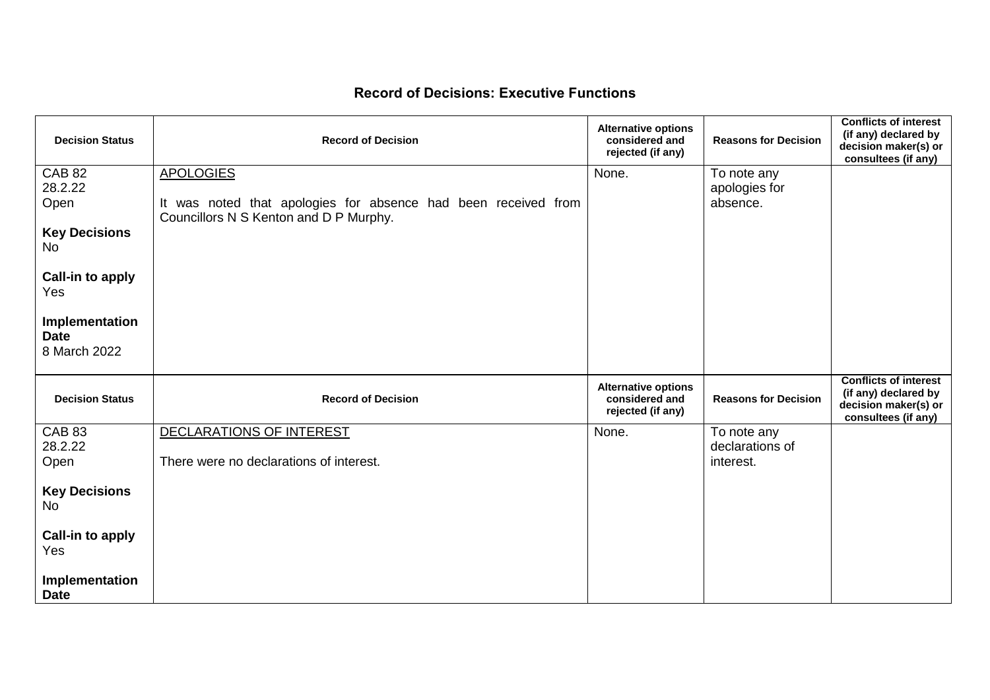## **Record of Decisions: Executive Functions**

| <b>Decision Status</b>                        | <b>Record of Decision</b>                                                                                | <b>Alternative options</b><br>considered and<br>rejected (if any) | <b>Reasons for Decision</b>    | <b>Conflicts of interest</b><br>(if any) declared by<br>decision maker(s) or<br>consultees (if any) |
|-----------------------------------------------|----------------------------------------------------------------------------------------------------------|-------------------------------------------------------------------|--------------------------------|-----------------------------------------------------------------------------------------------------|
| <b>CAB 82</b><br>28.2.22                      | <b>APOLOGIES</b>                                                                                         | None.                                                             | To note any                    |                                                                                                     |
| Open                                          | It was noted that apologies for absence had been received from<br>Councillors N S Kenton and D P Murphy. |                                                                   | apologies for<br>absence.      |                                                                                                     |
| <b>Key Decisions</b><br>No                    |                                                                                                          |                                                                   |                                |                                                                                                     |
| Call-in to apply<br>Yes                       |                                                                                                          |                                                                   |                                |                                                                                                     |
| Implementation<br><b>Date</b><br>8 March 2022 |                                                                                                          |                                                                   |                                |                                                                                                     |
| <b>Decision Status</b>                        | <b>Record of Decision</b>                                                                                | <b>Alternative options</b><br>considered and<br>rejected (if any) | <b>Reasons for Decision</b>    | <b>Conflicts of interest</b><br>(if any) declared by<br>decision maker(s) or<br>consultees (if any) |
| <b>CAB 83</b><br>28.2.22                      | DECLARATIONS OF INTEREST                                                                                 | None.                                                             | To note any<br>declarations of |                                                                                                     |
| Open                                          | There were no declarations of interest.                                                                  |                                                                   | interest.                      |                                                                                                     |
| <b>Key Decisions</b><br><b>No</b>             |                                                                                                          |                                                                   |                                |                                                                                                     |
| <b>Call-in to apply</b><br>Yes                |                                                                                                          |                                                                   |                                |                                                                                                     |
| Implementation<br><b>Date</b>                 |                                                                                                          |                                                                   |                                |                                                                                                     |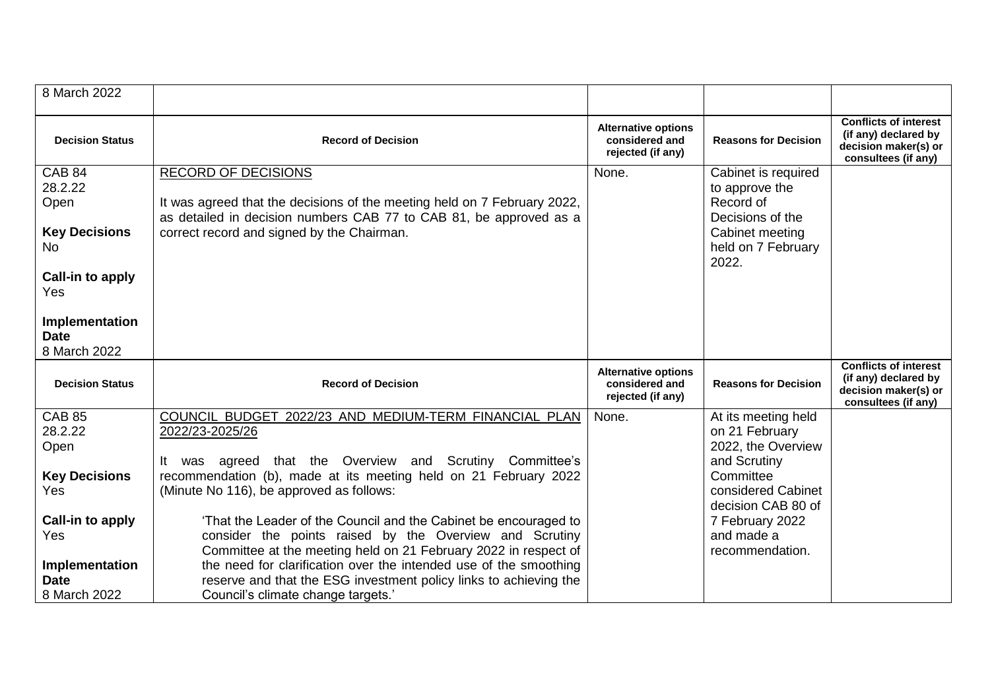| 8 March 2022                                                                                                                                |                                                                                                                                                                                                                                                                                                                                                                                                                                                                                                                                                                                                                                               |                                                                   |                                                                                                                                                                                          |                                                                                                     |
|---------------------------------------------------------------------------------------------------------------------------------------------|-----------------------------------------------------------------------------------------------------------------------------------------------------------------------------------------------------------------------------------------------------------------------------------------------------------------------------------------------------------------------------------------------------------------------------------------------------------------------------------------------------------------------------------------------------------------------------------------------------------------------------------------------|-------------------------------------------------------------------|------------------------------------------------------------------------------------------------------------------------------------------------------------------------------------------|-----------------------------------------------------------------------------------------------------|
| <b>Decision Status</b>                                                                                                                      | <b>Record of Decision</b>                                                                                                                                                                                                                                                                                                                                                                                                                                                                                                                                                                                                                     | <b>Alternative options</b><br>considered and<br>rejected (if any) | <b>Reasons for Decision</b>                                                                                                                                                              | <b>Conflicts of interest</b><br>(if any) declared by<br>decision maker(s) or<br>consultees (if any) |
| <b>CAB 84</b><br>28.2.22<br>Open<br><b>Key Decisions</b><br><b>No</b><br>Call-in to apply<br>Yes                                            | <b>RECORD OF DECISIONS</b><br>It was agreed that the decisions of the meeting held on 7 February 2022,<br>as detailed in decision numbers CAB 77 to CAB 81, be approved as a<br>correct record and signed by the Chairman.                                                                                                                                                                                                                                                                                                                                                                                                                    | None.                                                             | Cabinet is required<br>to approve the<br>Record of<br>Decisions of the<br>Cabinet meeting<br>held on 7 February<br>2022.                                                                 |                                                                                                     |
| Implementation<br><b>Date</b><br>8 March 2022                                                                                               |                                                                                                                                                                                                                                                                                                                                                                                                                                                                                                                                                                                                                                               |                                                                   |                                                                                                                                                                                          |                                                                                                     |
| <b>Decision Status</b>                                                                                                                      | <b>Record of Decision</b>                                                                                                                                                                                                                                                                                                                                                                                                                                                                                                                                                                                                                     | <b>Alternative options</b><br>considered and<br>rejected (if any) | <b>Reasons for Decision</b>                                                                                                                                                              | <b>Conflicts of interest</b><br>(if any) declared by<br>decision maker(s) or<br>consultees (if any) |
| <b>CAB 85</b><br>28.2.22<br>Open<br><b>Key Decisions</b><br>Yes<br>Call-in to apply<br>Yes<br>Implementation<br><b>Date</b><br>8 March 2022 | COUNCIL BUDGET 2022/23 AND MEDIUM-TERM FINANCIAL PLAN<br>2022/23-2025/26<br>agreed that the Overview and Scrutiny Committee's<br>It.<br>was<br>recommendation (b), made at its meeting held on 21 February 2022<br>(Minute No 116), be approved as follows:<br>'That the Leader of the Council and the Cabinet be encouraged to<br>consider the points raised by the Overview and Scrutiny<br>Committee at the meeting held on 21 February 2022 in respect of<br>the need for clarification over the intended use of the smoothing<br>reserve and that the ESG investment policy links to achieving the<br>Council's climate change targets.' | None.                                                             | At its meeting held<br>on 21 February<br>2022, the Overview<br>and Scrutiny<br>Committee<br>considered Cabinet<br>decision CAB 80 of<br>7 February 2022<br>and made a<br>recommendation. |                                                                                                     |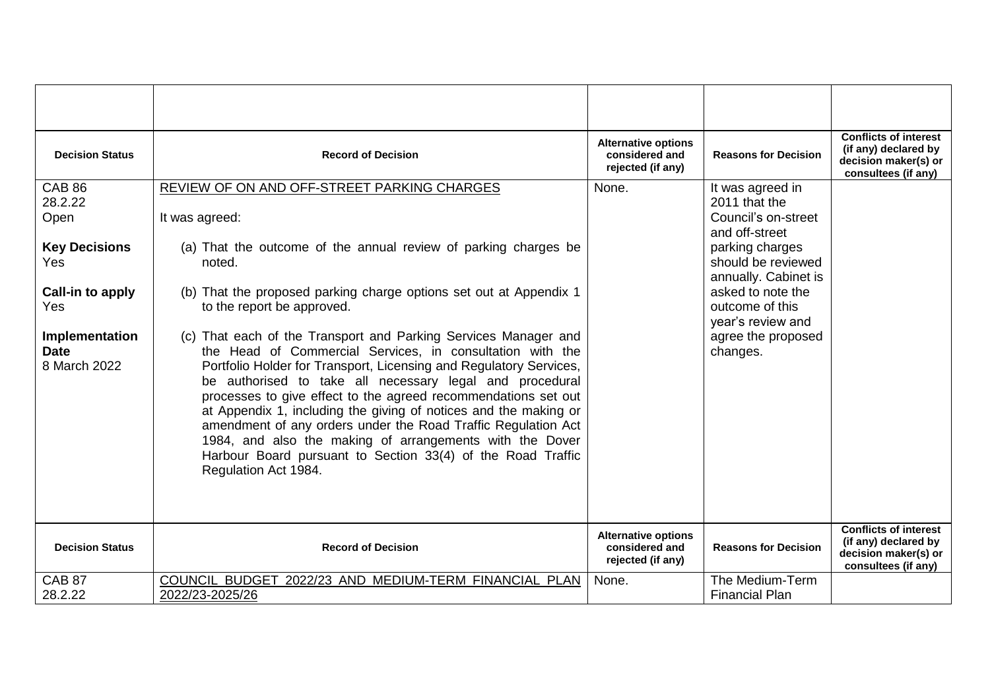| <b>Decision Status</b>                                          | <b>Record of Decision</b>                                                                                                                                                                                                                                                                                                                                                                                                                                                                | <b>Alternative options</b><br>considered and<br>rejected (if any) | <b>Reasons for Decision</b>                                                                                         | <b>Conflicts of interest</b><br>(if any) declared by<br>decision maker(s) or<br>consultees (if any) |
|-----------------------------------------------------------------|------------------------------------------------------------------------------------------------------------------------------------------------------------------------------------------------------------------------------------------------------------------------------------------------------------------------------------------------------------------------------------------------------------------------------------------------------------------------------------------|-------------------------------------------------------------------|---------------------------------------------------------------------------------------------------------------------|-----------------------------------------------------------------------------------------------------|
| <b>CAB 86</b><br>28.2.22<br>Open<br><b>Key Decisions</b><br>Yes | REVIEW OF ON AND OFF-STREET PARKING CHARGES<br>It was agreed:<br>(a) That the outcome of the annual review of parking charges be<br>noted.                                                                                                                                                                                                                                                                                                                                               | None.                                                             | It was agreed in<br>2011 that the<br>Council's on-street<br>and off-street<br>parking charges<br>should be reviewed |                                                                                                     |
| Call-in to apply<br>Yes<br>Implementation<br><b>Date</b>        | (b) That the proposed parking charge options set out at Appendix 1<br>to the report be approved.<br>(c) That each of the Transport and Parking Services Manager and<br>the Head of Commercial Services, in consultation with the                                                                                                                                                                                                                                                         |                                                                   | annually. Cabinet is<br>asked to note the<br>outcome of this<br>year's review and<br>agree the proposed<br>changes. |                                                                                                     |
| 8 March 2022                                                    | Portfolio Holder for Transport, Licensing and Regulatory Services,<br>be authorised to take all necessary legal and procedural<br>processes to give effect to the agreed recommendations set out<br>at Appendix 1, including the giving of notices and the making or<br>amendment of any orders under the Road Traffic Regulation Act<br>1984, and also the making of arrangements with the Dover<br>Harbour Board pursuant to Section 33(4) of the Road Traffic<br>Regulation Act 1984. |                                                                   |                                                                                                                     |                                                                                                     |
| <b>Decision Status</b>                                          | <b>Record of Decision</b>                                                                                                                                                                                                                                                                                                                                                                                                                                                                | <b>Alternative options</b><br>considered and<br>rejected (if any) | <b>Reasons for Decision</b>                                                                                         | <b>Conflicts of interest</b><br>(if any) declared by<br>decision maker(s) or<br>consultees (if any) |
| <b>CAB 87</b><br>28.2.22                                        | COUNCIL BUDGET 2022/23 AND MEDIUM-TERM FINANCIAL PLAN<br>2022/23-2025/26                                                                                                                                                                                                                                                                                                                                                                                                                 | None.                                                             | The Medium-Term<br><b>Financial Plan</b>                                                                            |                                                                                                     |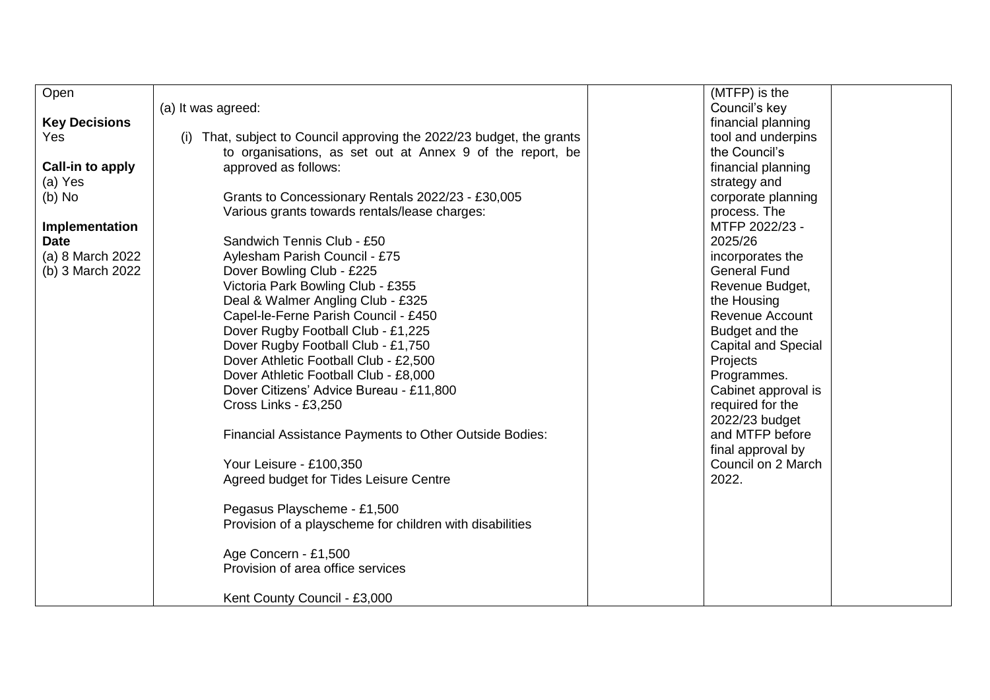| Open                 |                                                                   | (MTFP) is the              |
|----------------------|-------------------------------------------------------------------|----------------------------|
|                      | (a) It was agreed:                                                | Council's key              |
| <b>Key Decisions</b> |                                                                   | financial planning         |
| Yes                  | That, subject to Council approving the 2022/23 budget, the grants | tool and underpins         |
|                      | to organisations, as set out at Annex 9 of the report, be         | the Council's              |
| Call-in to apply     | approved as follows:                                              | financial planning         |
| (a) Yes              |                                                                   | strategy and               |
| $(b)$ No             | Grants to Concessionary Rentals 2022/23 - £30,005                 | corporate planning         |
|                      | Various grants towards rentals/lease charges:                     | process. The               |
| Implementation       |                                                                   | MTFP 2022/23 -             |
| <b>Date</b>          | Sandwich Tennis Club - £50                                        | 2025/26                    |
| (a) 8 March 2022     | Aylesham Parish Council - £75                                     | incorporates the           |
| (b) 3 March 2022     | Dover Bowling Club - £225                                         | <b>General Fund</b>        |
|                      |                                                                   |                            |
|                      | Victoria Park Bowling Club - £355                                 | Revenue Budget,            |
|                      | Deal & Walmer Angling Club - £325                                 | the Housing                |
|                      | Capel-le-Ferne Parish Council - £450                              | <b>Revenue Account</b>     |
|                      | Dover Rugby Football Club - £1,225                                | Budget and the             |
|                      | Dover Rugby Football Club - £1,750                                | <b>Capital and Special</b> |
|                      | Dover Athletic Football Club - £2,500                             | Projects                   |
|                      | Dover Athletic Football Club - £8,000                             | Programmes.                |
|                      | Dover Citizens' Advice Bureau - £11,800                           | Cabinet approval is        |
|                      | Cross Links - £3,250                                              | required for the           |
|                      |                                                                   | 2022/23 budget             |
|                      | Financial Assistance Payments to Other Outside Bodies:            | and MTFP before            |
|                      |                                                                   | final approval by          |
|                      | Your Leisure - £100,350                                           | Council on 2 March         |
|                      | Agreed budget for Tides Leisure Centre                            | 2022.                      |
|                      |                                                                   |                            |
|                      | Pegasus Playscheme - £1,500                                       |                            |
|                      | Provision of a playscheme for children with disabilities          |                            |
|                      |                                                                   |                            |
|                      | Age Concern - £1,500                                              |                            |
|                      |                                                                   |                            |
|                      | Provision of area office services                                 |                            |
|                      |                                                                   |                            |
|                      | Kent County Council - £3,000                                      |                            |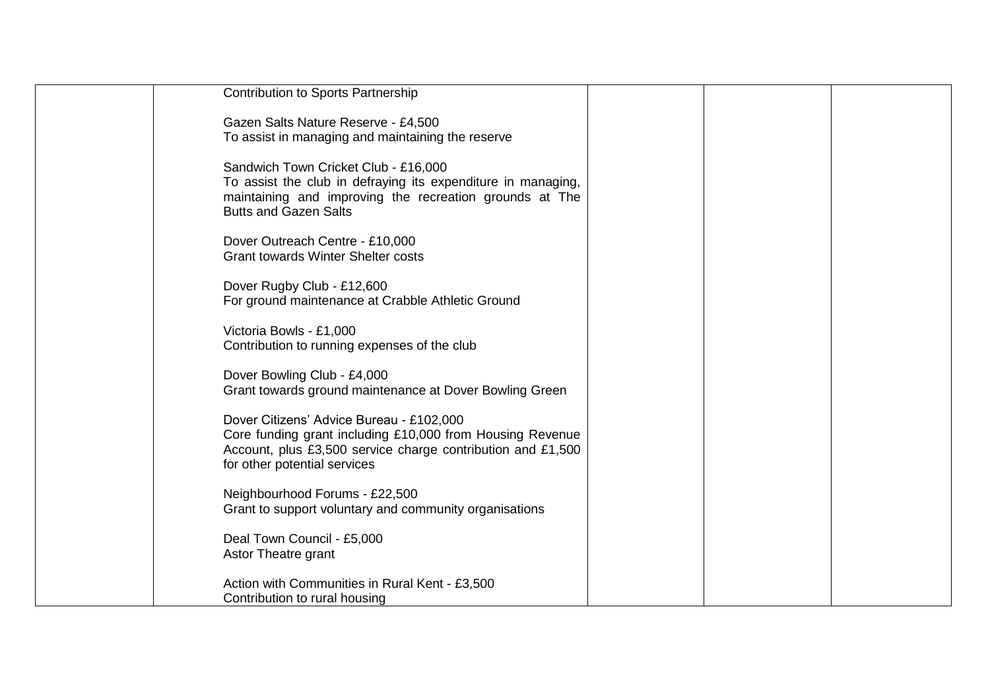| <b>Contribution to Sports Partnership</b>                                               |  |  |
|-----------------------------------------------------------------------------------------|--|--|
| Gazen Salts Nature Reserve - £4,500                                                     |  |  |
| To assist in managing and maintaining the reserve                                       |  |  |
| Sandwich Town Cricket Club - £16,000                                                    |  |  |
| To assist the club in defraying its expenditure in managing,                            |  |  |
| maintaining and improving the recreation grounds at The<br><b>Butts and Gazen Salts</b> |  |  |
|                                                                                         |  |  |
| Dover Outreach Centre - £10,000                                                         |  |  |
| <b>Grant towards Winter Shelter costs</b>                                               |  |  |
| Dover Rugby Club - £12,600                                                              |  |  |
| For ground maintenance at Crabble Athletic Ground                                       |  |  |
| Victoria Bowls - £1,000                                                                 |  |  |
| Contribution to running expenses of the club                                            |  |  |
| Dover Bowling Club - £4,000                                                             |  |  |
| Grant towards ground maintenance at Dover Bowling Green                                 |  |  |
| Dover Citizens' Advice Bureau - £102,000                                                |  |  |
| Core funding grant including £10,000 from Housing Revenue                               |  |  |
| Account, plus £3,500 service charge contribution and £1,500                             |  |  |
| for other potential services                                                            |  |  |
| Neighbourhood Forums - £22,500                                                          |  |  |
| Grant to support voluntary and community organisations                                  |  |  |
| Deal Town Council - £5,000                                                              |  |  |
| Astor Theatre grant                                                                     |  |  |
| Action with Communities in Rural Kent - £3,500                                          |  |  |
| Contribution to rural housing                                                           |  |  |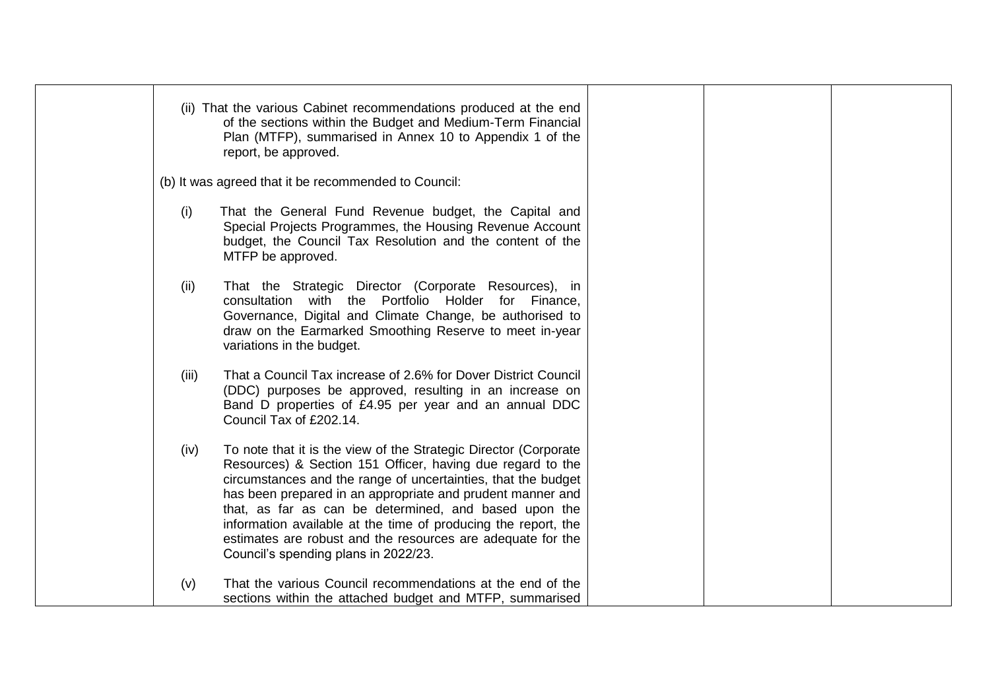|       | (ii) That the various Cabinet recommendations produced at the end<br>of the sections within the Budget and Medium-Term Financial<br>Plan (MTFP), summarised in Annex 10 to Appendix 1 of the<br>report, be approved.                                                                                                                                                                                                                                                                            |  |  |
|-------|-------------------------------------------------------------------------------------------------------------------------------------------------------------------------------------------------------------------------------------------------------------------------------------------------------------------------------------------------------------------------------------------------------------------------------------------------------------------------------------------------|--|--|
|       | (b) It was agreed that it be recommended to Council:                                                                                                                                                                                                                                                                                                                                                                                                                                            |  |  |
| (i)   | That the General Fund Revenue budget, the Capital and<br>Special Projects Programmes, the Housing Revenue Account<br>budget, the Council Tax Resolution and the content of the<br>MTFP be approved.                                                                                                                                                                                                                                                                                             |  |  |
| (ii)  | That the Strategic Director (Corporate Resources), in<br>consultation with the Portfolio Holder for Finance,<br>Governance, Digital and Climate Change, be authorised to<br>draw on the Earmarked Smoothing Reserve to meet in-year<br>variations in the budget.                                                                                                                                                                                                                                |  |  |
| (iii) | That a Council Tax increase of 2.6% for Dover District Council<br>(DDC) purposes be approved, resulting in an increase on<br>Band D properties of £4.95 per year and an annual DDC<br>Council Tax of £202.14.                                                                                                                                                                                                                                                                                   |  |  |
| (iv)  | To note that it is the view of the Strategic Director (Corporate<br>Resources) & Section 151 Officer, having due regard to the<br>circumstances and the range of uncertainties, that the budget<br>has been prepared in an appropriate and prudent manner and<br>that, as far as can be determined, and based upon the<br>information available at the time of producing the report, the<br>estimates are robust and the resources are adequate for the<br>Council's spending plans in 2022/23. |  |  |
| (v)   | That the various Council recommendations at the end of the<br>sections within the attached budget and MTFP, summarised                                                                                                                                                                                                                                                                                                                                                                          |  |  |